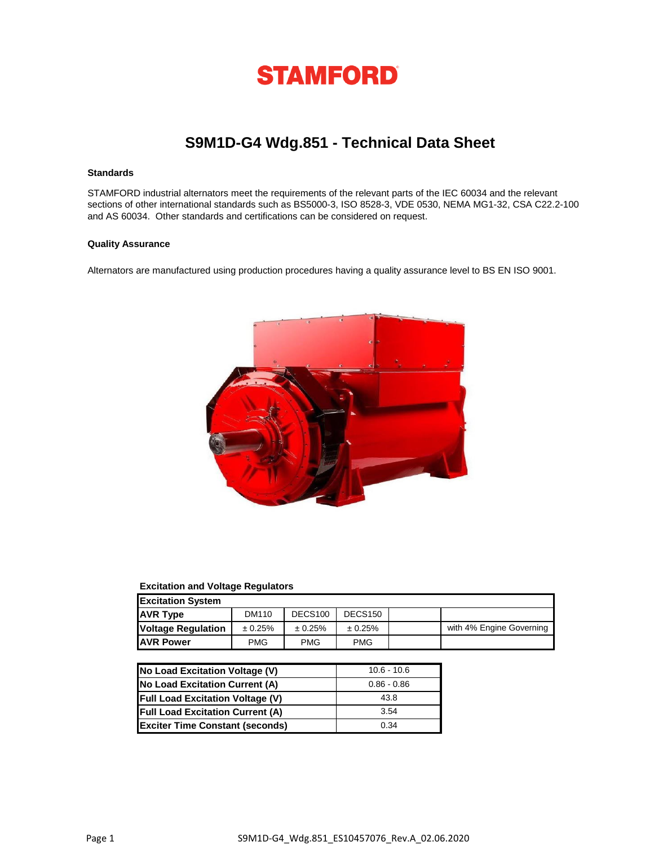

# **S9M1D-G4 Wdg.851 - Technical Data Sheet**

## **Standards**

STAMFORD industrial alternators meet the requirements of the relevant parts of the IEC 60034 and the relevant sections of other international standards such as BS5000-3, ISO 8528-3, VDE 0530, NEMA MG1-32, CSA C22.2-100 and AS 60034. Other standards and certifications can be considered on request.

### **Quality Assurance**

Alternators are manufactured using production procedures having a quality assurance level to BS EN ISO 9001.



### **Excitation and Voltage Regulators**

| <b>Excitation System</b>  |            |                     |                     |  |                          |  |
|---------------------------|------------|---------------------|---------------------|--|--------------------------|--|
| <b>AVR Type</b>           | DM110      | DECS <sub>100</sub> | DECS <sub>150</sub> |  |                          |  |
| <b>Voltage Regulation</b> | ± 0.25%    | ± 0.25%             | ± 0.25%             |  | with 4% Engine Governing |  |
| <b>JAVR Power</b>         | <b>PMG</b> | <b>PMG</b>          | <b>PMG</b>          |  |                          |  |

| No Load Excitation Voltage (V)          | $10.6 - 10.6$ |
|-----------------------------------------|---------------|
| No Load Excitation Current (A)          | $0.86 - 0.86$ |
| <b>Full Load Excitation Voltage (V)</b> | 43.8          |
| <b>Full Load Excitation Current (A)</b> | 3.54          |
| <b>Exciter Time Constant (seconds)</b>  | 0.34          |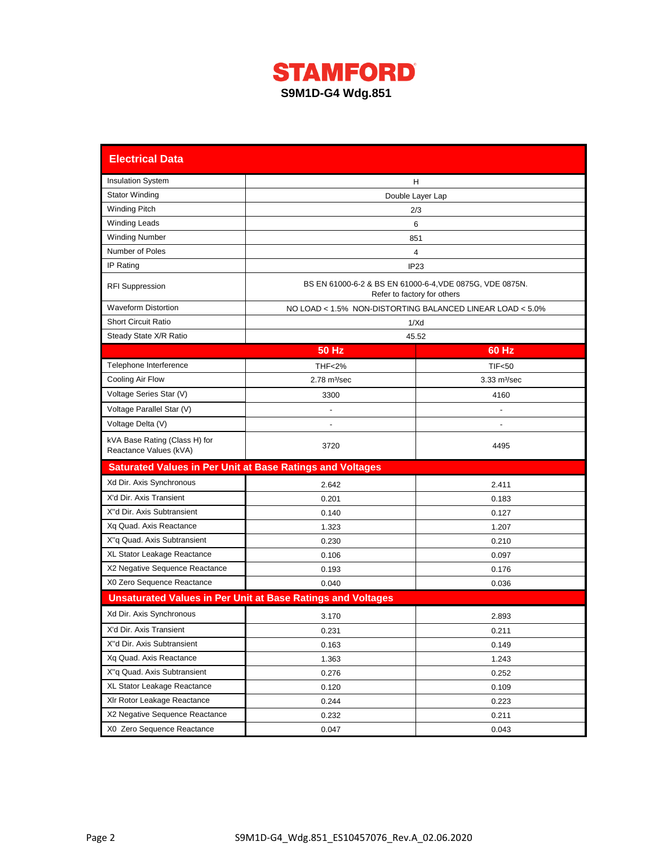

| <b>Electrical Data</b>                                           |                                                                    |                                                                                         |  |  |  |  |
|------------------------------------------------------------------|--------------------------------------------------------------------|-----------------------------------------------------------------------------------------|--|--|--|--|
| <b>Insulation System</b>                                         | H                                                                  |                                                                                         |  |  |  |  |
| <b>Stator Winding</b>                                            | Double Layer Lap                                                   |                                                                                         |  |  |  |  |
| <b>Winding Pitch</b>                                             |                                                                    | 2/3                                                                                     |  |  |  |  |
| <b>Winding Leads</b>                                             |                                                                    | 6                                                                                       |  |  |  |  |
| <b>Winding Number</b>                                            |                                                                    | 851                                                                                     |  |  |  |  |
| Number of Poles                                                  |                                                                    | 4                                                                                       |  |  |  |  |
| IP Rating                                                        |                                                                    | IP23                                                                                    |  |  |  |  |
| <b>RFI Suppression</b>                                           |                                                                    | BS EN 61000-6-2 & BS EN 61000-6-4, VDE 0875G, VDE 0875N.<br>Refer to factory for others |  |  |  |  |
| <b>Waveform Distortion</b>                                       |                                                                    | NO LOAD < 1.5% NON-DISTORTING BALANCED LINEAR LOAD < 5.0%                               |  |  |  |  |
| <b>Short Circuit Ratio</b>                                       |                                                                    | 1/Xd                                                                                    |  |  |  |  |
| Steady State X/R Ratio                                           |                                                                    | 45.52                                                                                   |  |  |  |  |
|                                                                  | <b>50 Hz</b>                                                       | 60 Hz                                                                                   |  |  |  |  |
| Telephone Interference                                           | <b>THF&lt;2%</b>                                                   | TIF <sub>50</sub>                                                                       |  |  |  |  |
| Cooling Air Flow                                                 | $2.78$ m $3$ /sec                                                  | $3.33 \text{ m}^3/\text{sec}$                                                           |  |  |  |  |
| Voltage Series Star (V)                                          | 3300                                                               | 4160                                                                                    |  |  |  |  |
| Voltage Parallel Star (V)                                        |                                                                    |                                                                                         |  |  |  |  |
| Voltage Delta (V)                                                |                                                                    |                                                                                         |  |  |  |  |
| kVA Base Rating (Class H) for<br>Reactance Values (kVA)          | 3720                                                               | 4495                                                                                    |  |  |  |  |
| <b>Saturated Values in Per Unit at Base Ratings and Voltages</b> |                                                                    |                                                                                         |  |  |  |  |
| Xd Dir. Axis Synchronous                                         | 2.642                                                              | 2.411                                                                                   |  |  |  |  |
| X'd Dir. Axis Transient                                          | 0.201                                                              | 0.183                                                                                   |  |  |  |  |
| X"d Dir. Axis Subtransient                                       | 0.140                                                              | 0.127                                                                                   |  |  |  |  |
| Xq Quad. Axis Reactance                                          | 1.323                                                              | 1.207                                                                                   |  |  |  |  |
| X"q Quad. Axis Subtransient                                      | 0.230                                                              | 0.210                                                                                   |  |  |  |  |
| XL Stator Leakage Reactance                                      | 0.106                                                              | 0.097                                                                                   |  |  |  |  |
| X2 Negative Sequence Reactance                                   | 0.193                                                              | 0.176                                                                                   |  |  |  |  |
| X0 Zero Sequence Reactance                                       | 0.040                                                              | 0.036                                                                                   |  |  |  |  |
|                                                                  | <b>Unsaturated Values in Per Unit at Base Ratings and Voltages</b> |                                                                                         |  |  |  |  |
| Xd Dir. Axis Synchronous                                         | 3.170                                                              | 2.893                                                                                   |  |  |  |  |
| X'd Dir. Axis Transient                                          | 0.231                                                              | 0.211                                                                                   |  |  |  |  |
| X"d Dir. Axis Subtransient                                       | 0.163                                                              | 0.149                                                                                   |  |  |  |  |
| Xq Quad. Axis Reactance                                          | 1.363<br>1.243                                                     |                                                                                         |  |  |  |  |
| X"q Quad. Axis Subtransient                                      | 0.276                                                              | 0.252                                                                                   |  |  |  |  |
| XL Stator Leakage Reactance                                      | 0.120                                                              | 0.109                                                                                   |  |  |  |  |
| XIr Rotor Leakage Reactance                                      | 0.244                                                              | 0.223                                                                                   |  |  |  |  |
| X2 Negative Sequence Reactance                                   | 0.232<br>0.211                                                     |                                                                                         |  |  |  |  |
| X0 Zero Sequence Reactance                                       | 0.047<br>0.043                                                     |                                                                                         |  |  |  |  |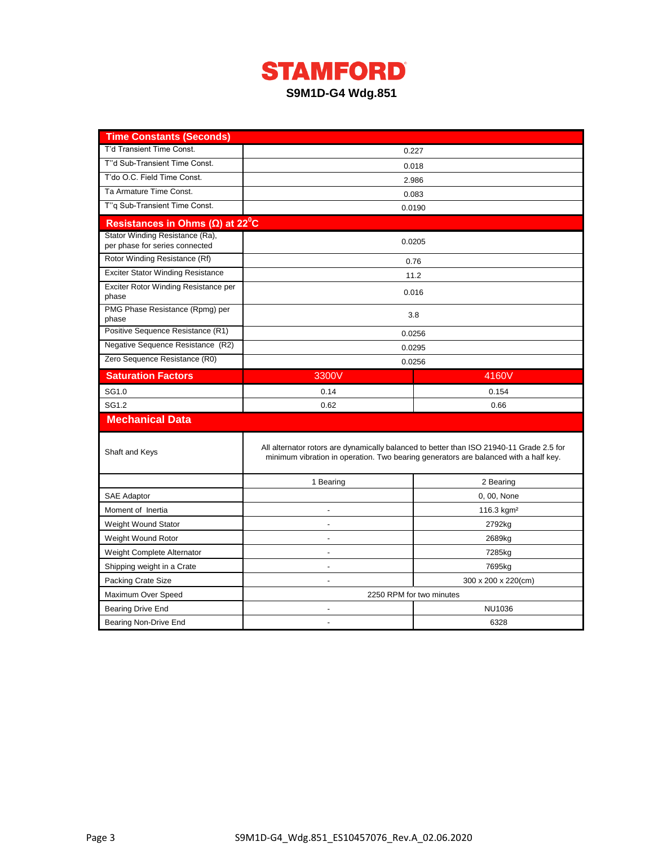

| <b>Time Constants (Seconds)</b>                                   |                                                                                          |                                                                                      |  |  |  |
|-------------------------------------------------------------------|------------------------------------------------------------------------------------------|--------------------------------------------------------------------------------------|--|--|--|
| T'd Transient Time Const.                                         | 0.227                                                                                    |                                                                                      |  |  |  |
| T"d Sub-Transient Time Const.                                     | 0.018                                                                                    |                                                                                      |  |  |  |
| T'do O.C. Field Time Const.                                       | 2.986                                                                                    |                                                                                      |  |  |  |
| Ta Armature Time Const.                                           |                                                                                          | 0.083                                                                                |  |  |  |
| T"q Sub-Transient Time Const.                                     | 0.0190                                                                                   |                                                                                      |  |  |  |
| Resistances in Ohms $(\Omega)$ at 22 <sup>°</sup> C               |                                                                                          |                                                                                      |  |  |  |
| Stator Winding Resistance (Ra),<br>per phase for series connected |                                                                                          | 0.0205                                                                               |  |  |  |
| Rotor Winding Resistance (Rf)                                     |                                                                                          | 0.76                                                                                 |  |  |  |
| <b>Exciter Stator Winding Resistance</b>                          |                                                                                          | 11.2                                                                                 |  |  |  |
| Exciter Rotor Winding Resistance per<br>phase                     |                                                                                          | 0.016                                                                                |  |  |  |
| PMG Phase Resistance (Rpmg) per<br>phase                          |                                                                                          | 3.8                                                                                  |  |  |  |
| Positive Sequence Resistance (R1)                                 | 0.0256                                                                                   |                                                                                      |  |  |  |
| Negative Sequence Resistance (R2)                                 |                                                                                          | 0.0295                                                                               |  |  |  |
| Zero Sequence Resistance (R0)                                     | 0.0256                                                                                   |                                                                                      |  |  |  |
| <b>Saturation Factors</b>                                         | 3300V                                                                                    | 4160V                                                                                |  |  |  |
| SG1.0                                                             | 0.14                                                                                     | 0.154                                                                                |  |  |  |
| SG1.2                                                             | 0.62                                                                                     | 0.66                                                                                 |  |  |  |
| <b>Mechanical Data</b>                                            |                                                                                          |                                                                                      |  |  |  |
| Shaft and Keys                                                    | All alternator rotors are dynamically balanced to better than ISO 21940-11 Grade 2.5 for | minimum vibration in operation. Two bearing generators are balanced with a half key. |  |  |  |
|                                                                   | 1 Bearing                                                                                | 2 Bearing                                                                            |  |  |  |
| <b>SAE Adaptor</b>                                                |                                                                                          | 0, 00, None                                                                          |  |  |  |
| Moment of Inertia                                                 |                                                                                          | 116.3 $kgm2$                                                                         |  |  |  |
| Weight Wound Stator                                               | $\overline{a}$                                                                           | 2792kg                                                                               |  |  |  |
| Weight Wound Rotor                                                |                                                                                          | 2689kg                                                                               |  |  |  |
| Weight Complete Alternator                                        |                                                                                          | 7285kg                                                                               |  |  |  |
| Shipping weight in a Crate                                        |                                                                                          | 7695kg                                                                               |  |  |  |
| Packing Crate Size                                                | 300 x 200 x 220(cm)<br>$\blacksquare$                                                    |                                                                                      |  |  |  |
| Maximum Over Speed                                                | 2250 RPM for two minutes                                                                 |                                                                                      |  |  |  |
| Bearing Drive End                                                 | NU1036                                                                                   |                                                                                      |  |  |  |
| Bearing Non-Drive End                                             | $\overline{a}$                                                                           | 6328                                                                                 |  |  |  |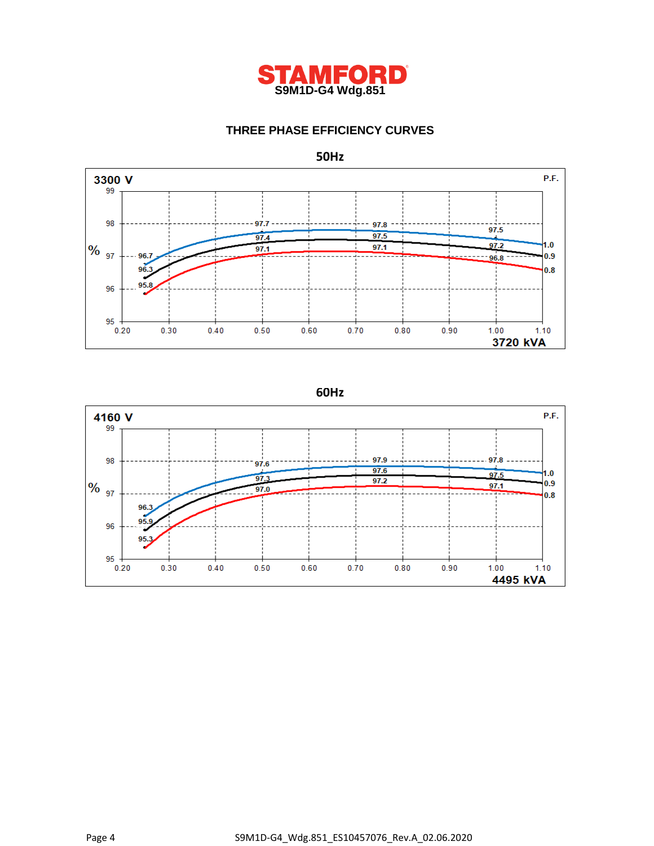

# **THREE PHASE EFFICIENCY CURVES**



**50Hz**

**60Hz**

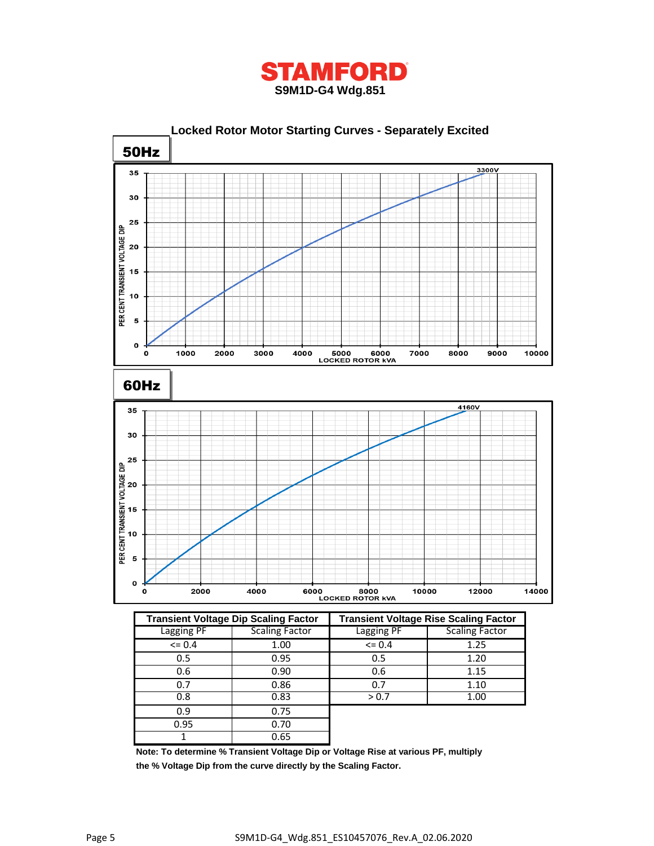



|             | <b>Transient Voltage Dip Scaling Factor</b> | <b>Transient Voltage Rise Scaling Factor</b> |                       |  |
|-------------|---------------------------------------------|----------------------------------------------|-----------------------|--|
| Lagging PF  | Scaling Factor                              | Lagging PF                                   | <b>Scaling Factor</b> |  |
| $\leq 0.4$  | 1.00                                        | $= 0.4$                                      | 1.25                  |  |
| 0.5         | 0.95                                        | 0.5                                          | 1.20                  |  |
| 0.6<br>0.90 |                                             | 0.6                                          | 1.15                  |  |
| 0.7         | 0.86                                        |                                              | 1.10                  |  |
| 0.83<br>0.8 |                                             | > 0.7                                        | 1.00                  |  |
| 0.9         | 0.75                                        |                                              |                       |  |
| 0.95        | 0.70                                        |                                              |                       |  |
|             | 0.65                                        |                                              |                       |  |

**Note: To determine % Transient Voltage Dip or Voltage Rise at various PF, multiply the % Voltage Dip from the curve directly by the Scaling Factor.**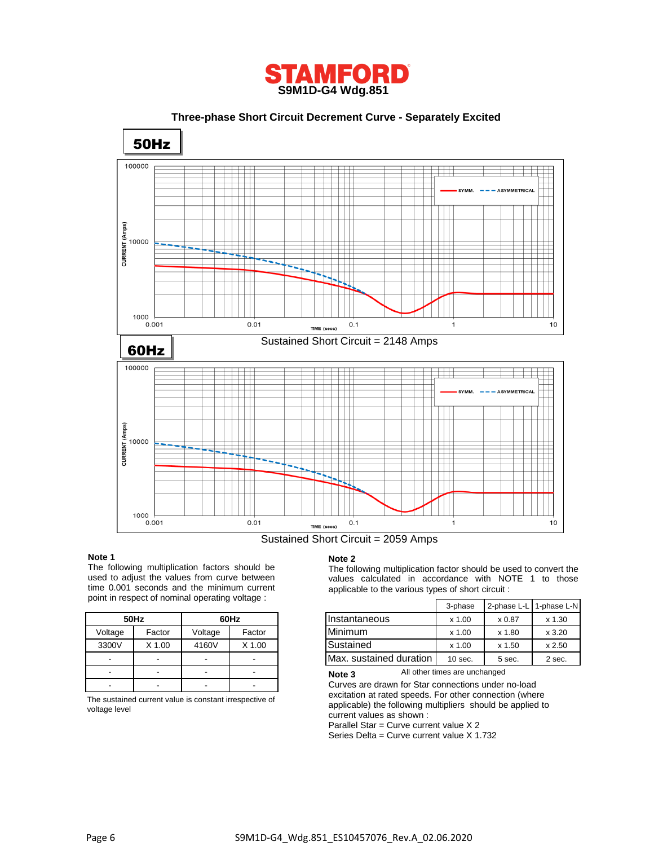

 **Three-phase Short Circuit Decrement Curve - Separately Excited**



Sustained Short Circuit = 2059 Amps

#### **Note 1**

The following multiplication factors should be used to adjust the values from curve between time 0.001 seconds and the minimum current point in respect of nominal operating voltage :

|                   | 50Hz   | 60Hz    |        |  |
|-------------------|--------|---------|--------|--|
| Voltage<br>Factor |        | Voltage | Factor |  |
| 3300V             | X 1.00 | 4160V   | X 1.00 |  |
|                   |        |         |        |  |
|                   |        |         |        |  |
|                   |        |         |        |  |

The sustained current value is constant irrespective of voltage level

#### **Note 2**

The following multiplication factor should be used to convert the values calculated in accordance with NOTE 1 to those applicable to the various types of short circuit :

|         | $\frac{1}{10}$ is respect of Hoffinial operating voltage. |         |        |                         | 3-phase   | 2-phase L-L 1-phase L-N |          |
|---------|-----------------------------------------------------------|---------|--------|-------------------------|-----------|-------------------------|----------|
|         | 50Hz                                                      |         | 60Hz   | IInstantaneous          | x 1.00    | x 0.87                  | $x$ 1.30 |
| Voltage | Factor                                                    | Voltage | Factor | Minimum                 | x 1.00    | x 1.80                  | x3.20    |
| 3300V   | X 1.00                                                    | 4160V   | X 1.00 | Sustained               | x 1.00    | x 1.50                  | x 2.50   |
| -       | $\sim$                                                    |         |        | Max. sustained duration | $10$ sec. | 5 sec.                  | 2 sec.   |

All other times are unchanged **Note 3**

Curves are drawn for Star connections under no-load excitation at rated speeds. For other connection (where applicable) the following multipliers should be applied to current values as shown :

Parallel Star = Curve current value X 2

Series Delta = Curve current value X 1.732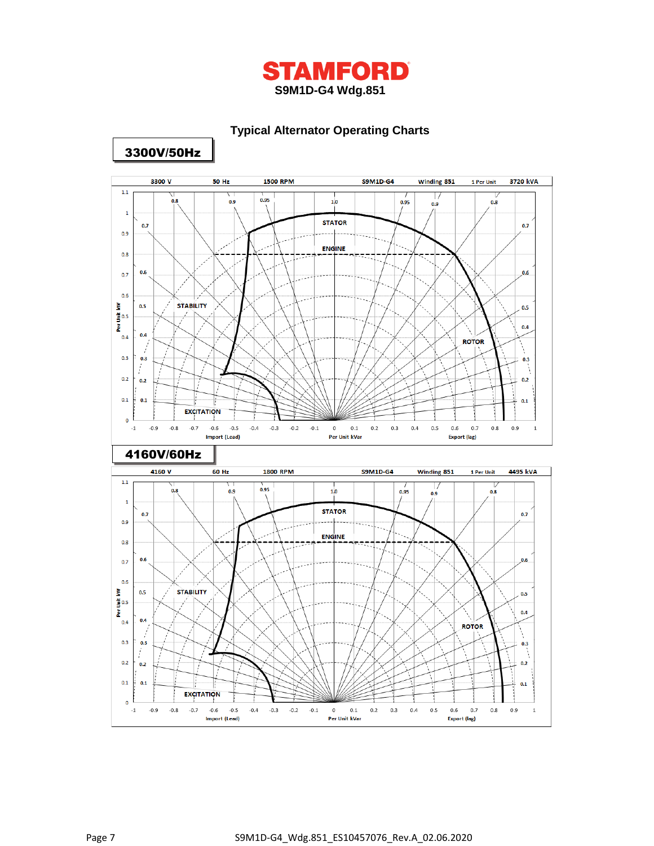

# **Typical Alternator Operating Charts**



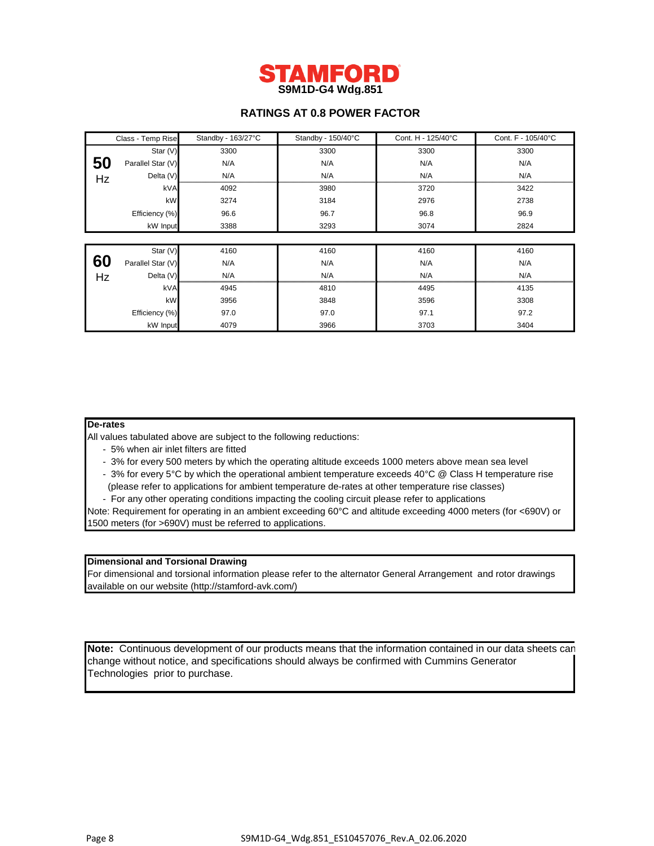

# **RATINGS AT 0.8 POWER FACTOR**

|    | Class - Temp Rise | Standby - 163/27°C | Standby - 150/40°C | Cont. H - 125/40°C | Cont. F - 105/40°C |
|----|-------------------|--------------------|--------------------|--------------------|--------------------|
|    | Star (V)          | 3300               | 3300               | 3300               | 3300               |
| 50 | Parallel Star (V) | N/A                | N/A                | N/A                | N/A                |
| Hz | Delta (V)         | N/A                | N/A                | N/A                | N/A                |
|    | kVA               | 4092               | 3980               | 3720               | 3422               |
|    | kW                | 3274               | 3184               | 2976               | 2738               |
|    | Efficiency (%)    | 96.6               | 96.7               | 96.8               | 96.9               |
|    | kW Input          | 3388               | 3293               | 3074               | 2824               |
|    |                   |                    |                    |                    |                    |
|    | Star (V)          | 4160               | 4160               | 4160               | 4160               |
| 60 | Parallel Star (V) | N/A                | N/A                | N/A                | N/A                |
| Hz | Delta (V)         | N/A                | N/A                | N/A                | N/A                |
|    | kVA               | 4945               | 4810               | 4495               | 4135               |
|    | kW                | 3956               | 3848               | 3596               | 3308               |
|    | Efficiency (%)    | 97.0               | 97.0               | 97.1               | 97.2               |
|    | kW Input          | 4079               | 3966               | 3703               | 3404               |

#### **De-rates**

All values tabulated above are subject to the following reductions:

- 5% when air inlet filters are fitted
- 3% for every 500 meters by which the operating altitude exceeds 1000 meters above mean sea level
- 3% for every 5°C by which the operational ambient temperature exceeds 40°C @ Class H temperature rise (please refer to applications for ambient temperature de-rates at other temperature rise classes)
- For any other operating conditions impacting the cooling circuit please refer to applications

Note: Requirement for operating in an ambient exceeding 60°C and altitude exceeding 4000 meters (for <690V) or 1500 meters (for >690V) must be referred to applications.

### **Dimensional and Torsional Drawing**

For dimensional and torsional information please refer to the alternator General Arrangement and rotor drawings available on our website (http://stamford-avk.com/)

**Note:** Continuous development of our products means that the information contained in our data sheets can change without notice, and specifications should always be confirmed with Cummins Generator Technologies prior to purchase.